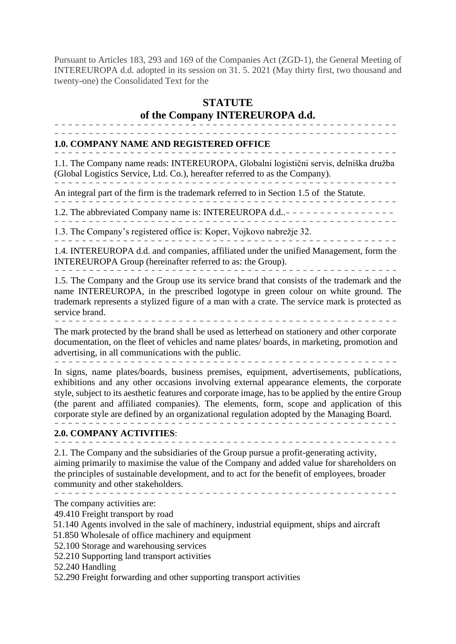Pursuant to Articles 183, 293 and 169 of the Companies Act (ZGD-1), the General Meeting of INTEREUROPA d.d. adopted in its session on 31. 5. 2021 (May thirty first, two thousand and twenty-one) the Consolidated Text for the

# **STATUTE of the Company INTEREUROPA d.d.**

-------------------------------------------------- --------------------------------------------------

### **1.0. COMPANY NAME AND REGISTERED OFFICE**

--------------------------------------------------

1.1. The Company name reads: INTEREUROPA, Globalni logistični servis, delniška družba (Global Logistics Service, Ltd. Co.), hereafter referred to as the Company). --------------------------------------------------

An integral part of the firm is the trademark referred to in Section 1.5 of the Statute.

-------------------------------------------------- 1.2. The abbreviated Company name is: INTEREUROPA d.d..---------

- - ------------------------------------------------

1.3. The Company's registered office is: Koper, Vojkovo nabrežje 32. --------------------------------------------------

1.4. INTEREUROPA d.d. and companies, affiliated under the unified Management, form the INTEREUROPA Group (hereinafter referred to as: the Group).

*--------------------------------------------------*

1.5. The Company and the Group use its service brand that consists of the trademark and the name INTEREUROPA, in the prescribed logotype in green colour on white ground. The trademark represents a stylized figure of a man with a crate. The service mark is protected as service brand. *--------------------------------------------------*

The mark protected by the brand shall be used as letterhead on stationery and other corporate documentation, on the fleet of vehicles and name plates/ boards, in marketing, promotion and advertising, in all communications with the public. *--------------------------------------------------*

In signs, name plates/boards, business premises, equipment, advertisements, publications, exhibitions and any other occasions involving external appearance elements, the corporate style, subject to its aesthetic features and corporate image, has to be applied by the entire Group (the parent and affiliated companies). The elements, form, scope and application of this corporate style are defined by an organizational regulation adopted by the Managing Board. --------------------------------------------------

#### **2.0. COMPANY ACTIVITIES**: --------------------------------------------------

2.1. The Company and the subsidiaries of the Group pursue a profit-generating activity, aiming primarily to maximise the value of the Company and added value for shareholders on the principles of sustainable development, and to act for the benefit of employees, broader community and other stakeholders.

--------------------------------------------------

The company activities are:

49.410 Freight transport by road

51.140 Agents involved in the sale of machinery, industrial equipment, ships and aircraft

51.850 Wholesale of office machinery and equipment

52.100 Storage and warehousing services

52.210 Supporting land transport activities

52.240 Handling

52.290 Freight forwarding and other supporting transport activities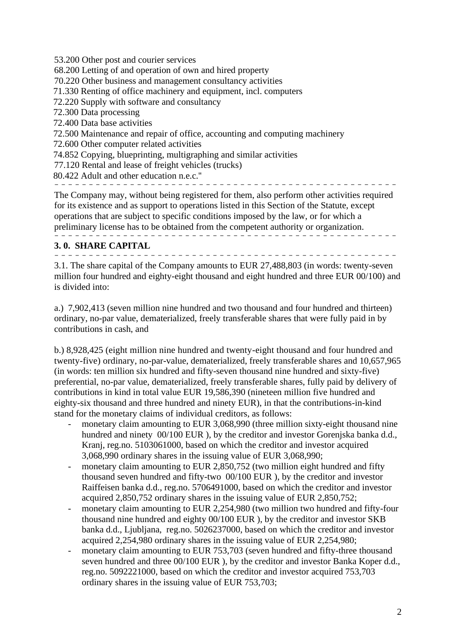53.200 Other post and courier services

68.200 Letting of and operation of own and hired property

70.220 Other business and management consultancy activities

71.330 Renting of office machinery and equipment, incl. computers

72.220 Supply with software and consultancy

72.300 Data processing

72.400 Data base activities

72.500 Maintenance and repair of office, accounting and computing machinery

72.600 Other computer related activities

74.852 Copying, blueprinting, multigraphing and similar activities

77.120 Rental and lease of freight vehicles (trucks)

80.422 Adult and other education n.e.c.''

--------------------------------------------------

The Company may, without being registered for them, also perform other activities required for its existence and as support to operations listed in this Section of the Statute, except operations that are subject to specific conditions imposed by the law, or for which a preliminary license has to be obtained from the competent authority or organization. --------------------------------------------------

# **3. 0. SHARE CAPITAL**

--------------------------------------------------

3.1. The share capital of the Company amounts to EUR 27,488,803 (in words: twenty-seven million four hundred and eighty-eight thousand and eight hundred and three EUR 00/100) and is divided into:

a.) 7,902,413 (seven million nine hundred and two thousand and four hundred and thirteen) ordinary, no-par value, dematerialized, freely transferable shares that were fully paid in by contributions in cash, and

b.) 8,928,425 (eight million nine hundred and twenty-eight thousand and four hundred and twenty-five) ordinary, no-par-value, dematerialized, freely transferable shares and 10,657,965 (in words: ten million six hundred and fifty-seven thousand nine hundred and sixty-five) preferential, no-par value, dematerialized, freely transferable shares, fully paid by delivery of contributions in kind in total value EUR 19,586,390 (nineteen million five hundred and eighty-six thousand and three hundred and ninety EUR), in that the contributions-in-kind stand for the monetary claims of individual creditors, as follows:

- monetary claim amounting to EUR 3,068,990 (three million sixty-eight thousand nine hundred and ninety 00/100 EUR ), by the creditor and investor Gorenjska banka d.d., Kranj, reg.no. 5103061000, based on which the creditor and investor acquired 3,068,990 ordinary shares in the issuing value of EUR 3,068,990;
- monetary claim amounting to EUR 2,850,752 (two million eight hundred and fifty thousand seven hundred and fifty-two 00/100 EUR ), by the creditor and investor Raiffeisen banka d.d., reg.no. 5706491000, based on which the creditor and investor acquired 2,850,752 ordinary shares in the issuing value of EUR 2,850,752;
- monetary claim amounting to EUR 2,254,980 (two million two hundred and fifty-four thousand nine hundred and eighty 00/100 EUR ), by the creditor and investor SKB banka d.d., Ljubljana, reg.no. 5026237000, based on which the creditor and investor acquired 2,254,980 ordinary shares in the issuing value of EUR 2,254,980;
- monetary claim amounting to EUR 753,703 (seven hundred and fifty-three thousand seven hundred and three 00/100 EUR ), by the creditor and investor Banka Koper d.d., reg.no. 5092221000, based on which the creditor and investor acquired 753,703 ordinary shares in the issuing value of EUR 753,703;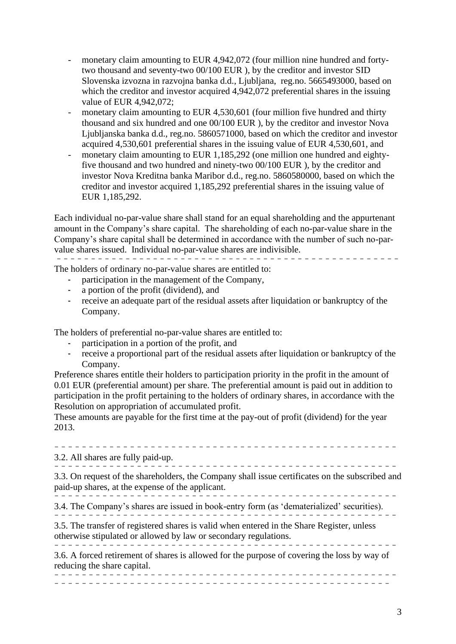- monetary claim amounting to EUR 4,942,072 (four million nine hundred and fortytwo thousand and seventy-two 00/100 EUR ), by the creditor and investor SID Slovenska izvozna in razvojna banka d.d., Ljubljana, reg.no. 5665493000, based on which the creditor and investor acquired 4,942,072 preferential shares in the issuing value of EUR 4,942,072;
- monetary claim amounting to EUR 4,530,601 (four million five hundred and thirty thousand and six hundred and one 00/100 EUR ), by the creditor and investor Nova Ljubljanska banka d.d., reg.no. 5860571000, based on which the creditor and investor acquired 4,530,601 preferential shares in the issuing value of EUR 4,530,601, and
- monetary claim amounting to EUR 1,185,292 (one million one hundred and eightyfive thousand and two hundred and ninety-two 00/100 EUR ), by the creditor and investor Nova Kreditna banka Maribor d.d., reg.no. 5860580000, based on which the creditor and investor acquired 1,185,292 preferential shares in the issuing value of EUR 1,185,292.

Each individual no-par-value share shall stand for an equal shareholding and the appurtenant amount in the Company's share capital. The shareholding of each no-par-value share in the Company's share capital shall be determined in accordance with the number of such no-parvalue shares issued. Individual no-par-value shares are indivisible. --------------------------------------------------

The holders of ordinary no-par-value shares are entitled to:

- participation in the management of the Company,
- a portion of the profit (dividend), and
- receive an adequate part of the residual assets after liquidation or bankruptcy of the Company.

The holders of preferential no-par-value shares are entitled to:

- participation in a portion of the profit, and
- receive a proportional part of the residual assets after liquidation or bankruptcy of the Company.

Preference shares entitle their holders to participation priority in the profit in the amount of 0.01 EUR (preferential amount) per share. The preferential amount is paid out in addition to participation in the profit pertaining to the holders of ordinary shares, in accordance with the Resolution on appropriation of accumulated profit.

These amounts are payable for the first time at the pay-out of profit (dividend) for the year 2013.

| 3.2. All shares are fully paid-up.                                                                                                                             |
|----------------------------------------------------------------------------------------------------------------------------------------------------------------|
| 3.3. On request of the shareholders, the Company shall issue certificates on the subscribed and<br>paid-up shares, at the expense of the applicant.            |
| 3.4. The Company's shares are issued in book-entry form (as 'dematerialized' securities).                                                                      |
| 3.5. The transfer of registered shares is valid when entered in the Share Register, unless<br>otherwise stipulated or allowed by law or secondary regulations. |
| 3.6. A forced retirement of shares is allowed for the purpose of covering the loss by way of<br>reducing the share capital.                                    |
|                                                                                                                                                                |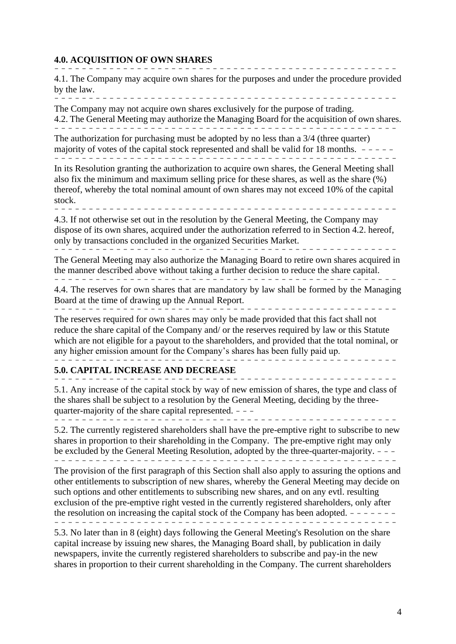#### **4.0. ACQUISITION OF OWN SHARES** --------------------------------------------------

4.1. The Company may acquire own shares for the purposes and under the procedure provided by the law. --------------------------------------------------

The Company may not acquire own shares exclusively for the purpose of trading. 4.2. The General Meeting may authorize the Managing Board for the acquisition of own shares. --------------------------------------------------

The authorization for purchasing must be adopted by no less than a 3/4 (three quarter) majority of votes of the capital stock represented and shall be valid for 18 months.  $- - - -$ --------------------------- -----------------------

In its Resolution granting the authorization to acquire own shares, the General Meeting shall also fix the minimum and maximum selling price for these shares, as well as the share (%) thereof, whereby the total nominal amount of own shares may not exceed 10% of the capital stock. --------------------------------------------------

4.3. If not otherwise set out in the resolution by the General Meeting, the Company may dispose of its own shares, acquired under the authorization referred to in Section 4.2. hereof, only by transactions concluded in the organized Securities Market. --------------------------------------------------

The General Meeting may also authorize the Managing Board to retire own shares acquired in the manner described above without taking a further decision to reduce the share capital.

-------------------------------------------------- 4.4. The reserves for own shares that are mandatory by law shall be formed by the Managing Board at the time of drawing up the Annual Report.

-------------------------------------------------- The reserves required for own shares may only be made provided that this fact shall not reduce the share capital of the Company and/ or the reserves required by law or this Statute

which are not eligible for a payout to the shareholders, and provided that the total nominal, or any higher emission amount for the Company's shares has been fully paid up. --------------------------------------------------

#### **5.0. CAPITAL INCREASE AND DECREASE** ------------- -------------------------------------

5.1. Any increase of the capital stock by way of new emission of shares, the type and class of the shares shall be subject to a resolution by the General Meeting, deciding by the threequarter-majority of the share capital represented.  $-$  -

--------------------------------------------------

5.2. The currently registered shareholders shall have the pre-emptive right to subscribe to new shares in proportion to their shareholding in the Company. The pre-emptive right may only be excluded by the General Meeting Resolution, adopted by the three-quarter-majority.  $-\frac{1}{2}$ --------------------------------------------------

The provision of the first paragraph of this Section shall also apply to assuring the options and other entitlements to subscription of new shares, whereby the General Meeting may decide on such options and other entitlements to subscribing new shares, and on any evtl. resulting exclusion of the pre-emptive right vested in the currently registered shareholders, only after the resolution on increasing the capital stock of the Company has been adopted.  $- - - - - -$ --------------------------------------------------

5.3. No later than in 8 (eight) days following the General Meeting's Resolution on the share capital increase by issuing new shares, the Managing Board shall, by publication in daily newspapers, invite the currently registered shareholders to subscribe and pay-in the new shares in proportion to their current shareholding in the Company. The current shareholders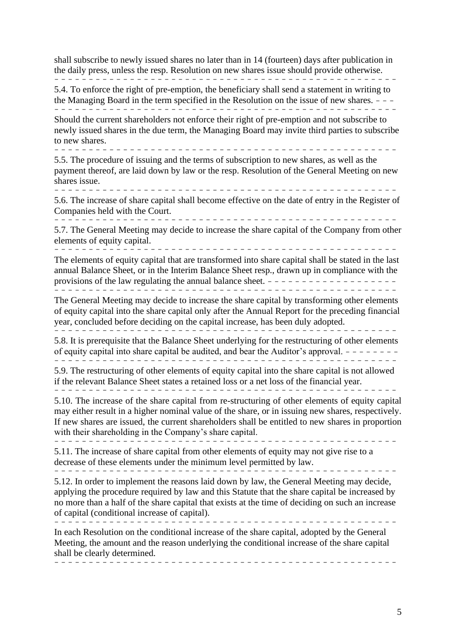shall subscribe to newly issued shares no later than in 14 (fourteen) days after publication in the daily press, unless the resp. Resolution on new shares issue should provide otherwise. --------------------------------------------------

5.4. To enforce the right of pre-emption, the beneficiary shall send a statement in writing to the Managing Board in the term specified in the Resolution on the issue of new shares.  $\frac{1}{2}$  - ---------------------------------------------------

Should the current shareholders not enforce their right of pre-emption and not subscribe to newly issued shares in the due term, the Managing Board may invite third parties to subscribe to new shares.

--------------------------------------------------

5.5. The procedure of issuing and the terms of subscription to new shares, as well as the payment thereof, are laid down by law or the resp. Resolution of the General Meeting on new shares issue. --------------------------------------------------

5.6. The increase of share capital shall become effective on the date of entry in the Register of Companies held with the Court.

--------------------------------------------------

5.7. The General Meeting may decide to increase the share capital of the Company from other elements of equity capital.

 $-$ 

The elements of equity capital that are transformed into share capital shall be stated in the last annual Balance Sheet, or in the Interim Balance Sheet resp., drawn up in compliance with the provisions of the law regulating the annual balance sheet. ------------------- --------------------------------------------------

The General Meeting may decide to increase the share capital by transforming other elements of equity capital into the share capital only after the Annual Report for the preceding financial year, concluded before deciding on the capital increase, has been duly adopted.

------------------------------- ------------------- 5.8. It is prerequisite that the Balance Sheet underlying for the restructuring of other elements

of equity capital into share capital be audited, and bear the Auditor's approval.  $- - - - - - - -$ 

----------------------------------------------- --- 5.9. The restructuring of other elements of equity capital into the share capital is not allowed if the relevant Balance Sheet states a retained loss or a net loss of the financial year.

--------------------------------------------------

5.10. The increase of the share capital from re-structuring of other elements of equity capital may either result in a higher nominal value of the share, or in issuing new shares, respectively. If new shares are issued, the current shareholders shall be entitled to new shares in proportion with their shareholding in the Company's share capital. --------------------------------------------------

5.11. The increase of share capital from other elements of equity may not give rise to a decrease of these elements under the minimum level permitted by law. --------------------------------------------------

5.12. In order to implement the reasons laid down by law, the General Meeting may decide, applying the procedure required by law and this Statute that the share capital be increased by no more than a half of the share capital that exists at the time of deciding on such an increase of capital (conditional increase of capital). --------------------------------------------------

In each Resolution on the conditional increase of the share capital, adopted by the General Meeting, the amount and the reason underlying the conditional increase of the share capital shall be clearly determined. --------------------------------------------------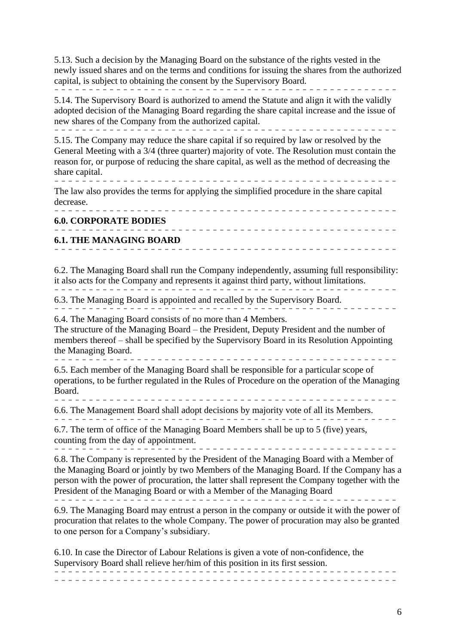5.13. Such a decision by the Managing Board on the substance of the rights vested in the newly issued shares and on the terms and conditions for issuing the shares from the authorized capital, is subject to obtaining the consent by the Supervisory Board. ------------------------------ --------------------

5.14. The Supervisory Board is authorized to amend the Statute and align it with the validly adopted decision of the Managing Board regarding the share capital increase and the issue of new shares of the Company from the authorized capital. --------------------------------------------------

5.15. The Company may reduce the share capital if so required by law or resolved by the General Meeting with a 3/4 (three quarter) majority of vote. The Resolution must contain the reason for, or purpose of reducing the share capital, as well as the method of decreasing the share capital.

--------------------------------------------------

The law also provides the terms for applying the simplified procedure in the share capital decrease.

---------- ---------------------------------------- **6.0. CORPORATE BODIES** -------------------------------------------------- **6.1. THE MANAGING BOARD**

--------------------------------------------------

6.2. The Managing Board shall run the Company independently, assuming full responsibility: it also acts for the Company and represents it against third party, without limitations. --------------------------------------------------

--------------------------------------------------

6.3. The Managing Board is appointed and recalled by the Supervisory Board.

6.4. The Managing Board consists of no more than 4 Members.

The structure of the Managing Board – the President, Deputy President and the number of members thereof – shall be specified by the Supervisory Board in its Resolution Appointing the Managing Board.  $-$ 

6.5. Each member of the Managing Board shall be responsible for a particular scope of operations, to be further regulated in the Rules of Procedure on the operation of the Managing Board.

-------------------------------------------------- 6.6. The Management Board shall adopt decisions by majority vote of all its Members.

--------------------------------------------------

6.7. The term of office of the Managing Board Members shall be up to 5 (five) years, counting from the day of appointment. --------------------------------------------------

6.8. The Company is represented by the President of the Managing Board with a Member of the Managing Board or jointly by two Members of the Managing Board. If the Company has a person with the power of procuration, the latter shall represent the Company together with the President of the Managing Board or with a Member of the Managing Board

--------------------------------------------------

6.9. The Managing Board may entrust a person in the company or outside it with the power of procuration that relates to the whole Company. The power of procuration may also be granted to one person for a Company's subsidiary.

6.10. In case the Director of Labour Relations is given a vote of non-confidence, the Supervisory Board shall relieve her/him of this position in its first session.

-------------------------------------------------- --------------------------------------------------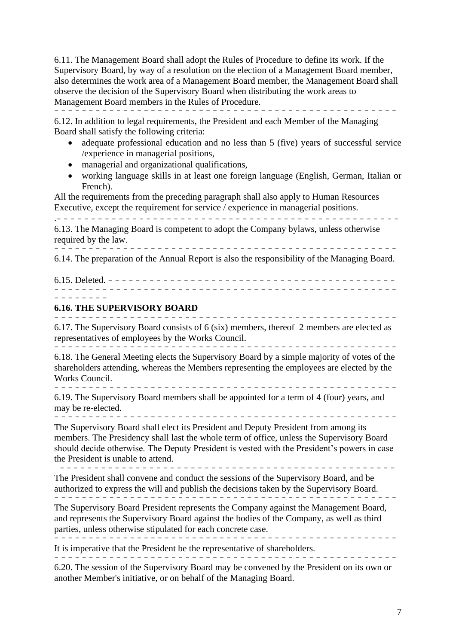6.11. The Management Board shall adopt the Rules of Procedure to define its work. If the Supervisory Board, by way of a resolution on the election of a Management Board member, also determines the work area of a Management Board member, the Management Board shall observe the decision of the Supervisory Board when distributing the work areas to Management Board members in the Rules of Procedure. --------------------------------------------------

6.12. In addition to legal requirements, the President and each Member of the Managing Board shall satisfy the following criteria:

- adequate professional education and no less than 5 (five) years of successful service /experience in managerial positions,
- managerial and organizational qualifications,
- working language skills in at least one foreign language (English, German, Italian or French).

All the requirements from the preceding paragraph shall also apply to Human Resources Executive, except the requirement for service / experience in managerial positions.

.-------------------------------------------------- 6.13. The Managing Board is competent to adopt the Company bylaws, unless otherwise required by the law. --------------------------------------------------

6.14. The preparation of the Annual Report is also the responsibility of the Managing Board.

6.15. Deleted. - - - - - - - - - - - - - - - - - - - - - - - - - - - - - - - - - - - - - - - - - - -------------------------------------------------- --------

#### **6.16. THE SUPERVISORY BOARD** --------------------------------------------------

6.17. The Supervisory Board consists of 6 (six) members, thereof 2 members are elected as representatives of employees by the Works Council. --------------------------------------------------

6.18. The General Meeting elects the Supervisory Board by a simple majority of votes of the shareholders attending, whereas the Members representing the employees are elected by the Works Council. --------------------------------------------------

6.19. The Supervisory Board members shall be appointed for a term of 4 (four) years, and may be re-elected.

-------------------------------------------------- The Supervisory Board shall elect its President and Deputy President from among its members. The Presidency shall last the whole term of office, unless the Supervisory Board should decide otherwise. The Deputy President is vested with the President's powers in case the President is unable to attend.

------------------------------------------------- The President shall convene and conduct the sessions of the Supervisory Board, and be

authorized to express the will and publish the decisions taken by the Supervisory Board. --------------------------------------------------

The Supervisory Board President represents the Company against the Management Board, and represents the Supervisory Board against the bodies of the Company, as well as third parties, unless otherwise stipulated for each concrete case.

-------------------------------------------------- It is imperative that the President be the representative of shareholders.

6.20. The session of the Supervisory Board may be convened by the President on its own or another Member's initiative, or on behalf of the Managing Board.

--------------------------------------------------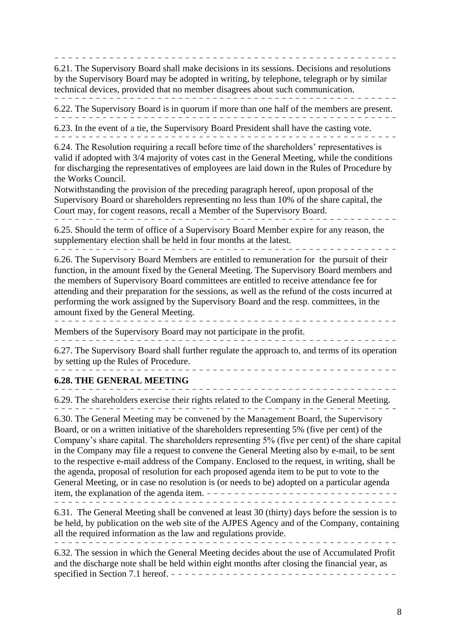----------------------------------- --------------- 6.21. The Supervisory Board shall make decisions in its sessions. Decisions and resolutions by the Supervisory Board may be adopted in writing, by telephone, telegraph or by similar technical devices, provided that no member disagrees about such communication.

-------------------------------------------------- 6.22. The Supervisory Board is in quorum if more than one half of the members are present.

--------------------------------------------------

6.23. In the event of a tie, the Supervisory Board President shall have the casting vote. --------------------------------------------------

6.24. The Resolution requiring a recall before time of the shareholders' representatives is valid if adopted with 3/4 majority of votes cast in the General Meeting, while the conditions for discharging the representatives of employees are laid down in the Rules of Procedure by the Works Council.

Notwithstanding the provision of the preceding paragraph hereof, upon proposal of the Supervisory Board or shareholders representing no less than 10% of the share capital, the Court may, for cogent reasons, recall a Member of the Supervisory Board.

--------------------------------------------------

6.25. Should the term of office of a Supervisory Board Member expire for any reason, the supplementary election shall be held in four months at the latest. --------------------------------------------------

6.26. The Supervisory Board Members are entitled to remuneration for the pursuit of their function, in the amount fixed by the General Meeting. The Supervisory Board members and the members of Supervisory Board committees are entitled to receive attendance fee for attending and their preparation for the sessions, as well as the refund of the costs incurred at performing the work assigned by the Supervisory Board and the resp. committees, in the amount fixed by the General Meeting. --------------------------------------------------

Members of the Supervisory Board may not participate in the profit.

------------------ -------------------------------- 6.27. The Supervisory Board shall further regulate the approach to, and terms of its operation by setting up the Rules of Procedure.

## **6.28. THE GENERAL MEETING**

. . . . . . . . . . . . . .

-------------------------------------------------- 6.29. The shareholders exercise their rights related to the Company in the General Meeting. ------------------------------------ --------------

6.30. The General Meeting may be convened by the Management Board, the Supervisory Board, or on a written initiative of the shareholders representing 5% (five per cent) of the Company's share capital. The shareholders representing 5% (five per cent) of the share capital in the Company may file a request to convene the General Meeting also by e-mail, to be sent to the respective e-mail address of the Company. Enclosed to the request, in writing, shall be the agenda, proposal of resolution for each proposed agenda item to be put to vote to the General Meeting, or in case no resolution is (or needs to be) adopted on a particular agenda item, the explanation of the agenda item. ---------------------------- ------------------------------------------ --------

6.31. The General Meeting shall be convened at least 30 (thirty) days before the session is to be held, by publication on the web site of the AJPES Agency and of the Company, containing all the required information as the law and regulations provide. --------------------------------------------------

6.32. The session in which the General Meeting decides about the use of Accumulated Profit and the discharge note shall be held within eight months after closing the financial year, as specified in Section 7.1 hereof. - - - - - - - - - - - - - - - - - - - - - - - - - - - - - - - - -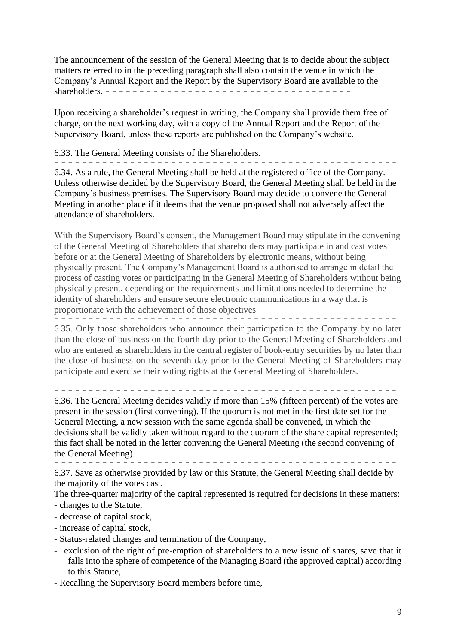The announcement of the session of the General Meeting that is to decide about the subject matters referred to in the preceding paragraph shall also contain the venue in which the Company's Annual Report and the Report by the Supervisory Board are available to the shareholders. - - - - - - - - - - - - - - - - - - - - - - - - - - - - - - - - - - - -

Upon receiving a shareholder's request in writing, the Company shall provide them free of charge, on the next working day, with a copy of the Annual Report and the Report of the Supervisory Board, unless these reports are published on the Company's website. -------------------------------------------------- 6.33. The General Meeting consists of the Shareholders.

----------------------------- ---------------------

6.34. As a rule, the General Meeting shall be held at the registered office of the Company. Unless otherwise decided by the Supervisory Board, the General Meeting shall be held in the Company's business premises. The Supervisory Board may decide to convene the General Meeting in another place if it deems that the venue proposed shall not adversely affect the attendance of shareholders.

With the Supervisory Board's consent, the Management Board may stipulate in the convening of the General Meeting of Shareholders that shareholders may participate in and cast votes before or at the General Meeting of Shareholders by electronic means, without being physically present. The Company's Management Board is authorised to arrange in detail the process of casting votes or participating in the General Meeting of Shareholders without being physically present, depending on the requirements and limitations needed to determine the identity of shareholders and ensure secure electronic communications in a way that is proportionate with the achievement of those objectives

-------------------------------------------------- 6.35. Only those shareholders who announce their participation to the Company by no later than the close of business on the fourth day prior to the General Meeting of Shareholders and who are entered as shareholders in the central register of book-entry securities by no later than the close of business on the seventh day prior to the General Meeting of Shareholders may participate and exercise their voting rights at the General Meeting of Shareholders.

--------------------------------------------------

6.36. The General Meeting decides validly if more than 15% (fifteen percent) of the votes are present in the session (first convening). If the quorum is not met in the first date set for the General Meeting, a new session with the same agenda shall be convened, in which the decisions shall be validly taken without regard to the quorum of the share capital represented; this fact shall be noted in the letter convening the General Meeting (the second convening of the General Meeting).

--------------------------------------------------

6.37. Save as otherwise provided by law or this Statute, the General Meeting shall decide by the majority of the votes cast.

The three-quarter majority of the capital represented is required for decisions in these matters: - changes to the Statute,

- decrease of capital stock,
- increase of capital stock,
- Status-related changes and termination of the Company,
- exclusion of the right of pre-emption of shareholders to a new issue of shares, save that it falls into the sphere of competence of the Managing Board (the approved capital) according to this Statute,
- Recalling the Supervisory Board members before time,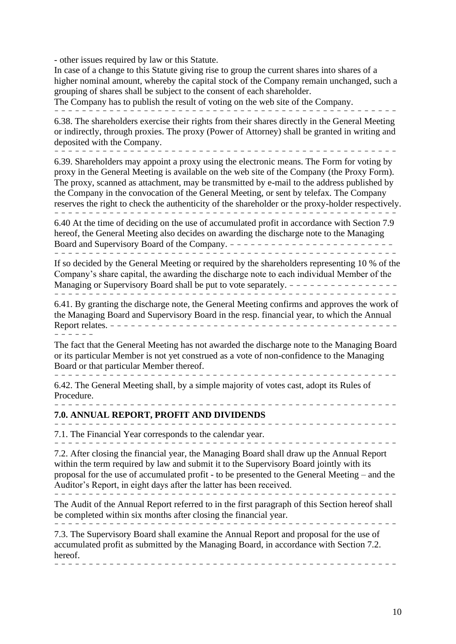- other issues required by law or this Statute.

In case of a change to this Statute giving rise to group the current shares into shares of a higher nominal amount, whereby the capital stock of the Company remain unchanged, such a grouping of shares shall be subject to the consent of each shareholder.

The Company has to publish the result of voting on the web site of the Company.

--------------------------------------------------

6.38. The shareholders exercise their rights from their shares directly in the General Meeting or indirectly, through proxies. The proxy (Power of Attorney) shall be granted in writing and deposited with the Company.

-------------------------------------------------- 6.39. Shareholders may appoint a proxy using the electronic means. The Form for voting by

proxy in the General Meeting is available on the web site of the Company (the Proxy Form). The proxy, scanned as attachment, may be transmitted by e-mail to the address published by the Company in the convocation of the General Meeting, or sent by telefax. The Company reserves the right to check the authenticity of the shareholder or the proxy-holder respectively. --------------------------------------------------

6.40 At the time of deciding on the use of accumulated profit in accordance with Section 7.9 hereof, the General Meeting also decides on awarding the discharge note to the Managing Board and Supervisory Board of the Company. - - - - - - - - - - - - - - - - - - - - - - - - --------------------------------------------------

If so decided by the General Meeting or required by the shareholders representing 10 % of the Company's share capital, the awarding the discharge note to each individual Member of the Managing or Supervisory Board shall be put to vote separately. - - - - - - - - - - - - - - - - - - ------------------------------------------------

6.41. By granting the discharge note, the General Meeting confirms and approves the work of the Managing Board and Supervisory Board in the resp. financial year, to which the Annual Report relates. - - - - - - - - - --------------------------------- ------

The fact that the General Meeting has not awarded the discharge note to the Managing Board or its particular Member is not yet construed as a vote of non-confidence to the Managing Board or that particular Member thereof. --------------------------------------------------

--------------------------------------------------

------- -------------------------------------------

6.42. The General Meeting shall, by a simple majority of votes cast, adopt its Rules of Procedure.

### **7.0. ANNUAL REPORT, PROFIT AND DIVIDENDS**

7.1. The Financial Year corresponds to the calendar year.

--------------------------------------------------

7.2. After closing the financial year, the Managing Board shall draw up the Annual Report within the term required by law and submit it to the Supervisory Board jointly with its proposal for the use of accumulated profit - to be presented to the General Meeting – and the Auditor's Report, in eight days after the latter has been received.

----------------- --------------------------------- The Audit of the Annual Report referred to in the first paragraph of this Section hereof shall

be completed within six months after closing the financial year. --------------------------------------------------

7.3. The Supervisory Board shall examine the Annual Report and proposal for the use of accumulated profit as submitted by the Managing Board, in accordance with Section 7.2. hereof.

----------------------- ---------------------------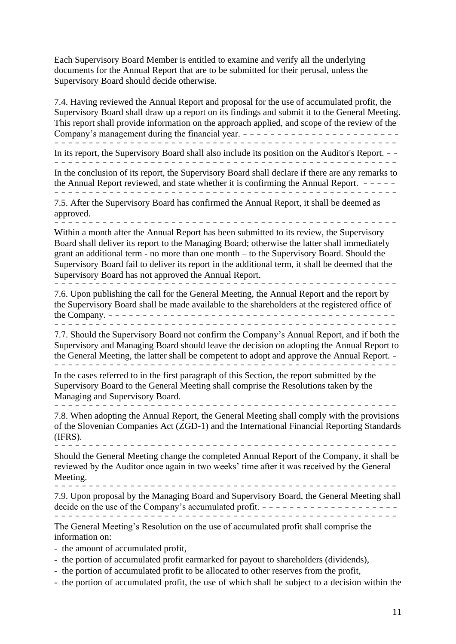Each Supervisory Board Member is entitled to examine and verify all the underlying documents for the Annual Report that are to be submitted for their perusal, unless the Supervisory Board should decide otherwise.

7.4. Having reviewed the Annual Report and proposal for the use of accumulated profit, the Supervisory Board shall draw up a report on its findings and submit it to the General Meeting. This report shall provide information on the approach applied, and scope of the review of the Company's management during the financial year. ----------------------- -------------------------------------------------- In its report, the Supervisory Board shall also include its position on the Auditor's Report. - - --------------------------- ----------------------- In the conclusion of its report, the Supervisory Board shall declare if there are any remarks to the Annual Report reviewed, and state whether it is confirming the Annual Report.  $- - - -$ ----------------------------------------------- --- 7.5. After the Supervisory Board has confirmed the Annual Report, it shall be deemed as approved. -------------------------------------------------- Within a month after the Annual Report has been submitted to its review, the Supervisory Board shall deliver its report to the Managing Board; otherwise the latter shall immediately grant an additional term - no more than one month – to the Supervisory Board. Should the Supervisory Board fail to deliver its report in the additional term, it shall be deemed that the Supervisory Board has not approved the Annual Report. -------------------------------------------------- 7.6. Upon publishing the call for the General Meeting, the Annual Report and the report by the Supervisory Board shall be made available to the shareholders at the registered office of the Company. ------------------------------------------ -------------------------------------------------- 7.7. Should the Supervisory Board not confirm the Company's Annual Report, and if both the Supervisory and Managing Board should leave the decision on adopting the Annual Report to the General Meeting, the latter shall be competent to adopt and approve the Annual Report. - -------------------------------------------------- In the cases referred to in the first paragraph of this Section, the report submitted by the Supervisory Board to the General Meeting shall comprise the Resolutions taken by the Managing and Supervisory Board. -------------------------------------------------- 7.8. When adopting the Annual Report, the General Meeting shall comply with the provisions of the Slovenian Companies Act (ZGD-1) and the International Financial Reporting Standards (IFRS). -------------------------------------------------- Should the General Meeting change the completed Annual Report of the Company, it shall be reviewed by the Auditor once again in two weeks' time after it was received by the General Meeting. ------ -------------------------------------------- 7.9. Upon proposal by the Managing Board and Supervisory Board, the General Meeting shall decide on the use of the Company's accumulated profit. -------------------- ---------------------------------------------- ----

The General Meeting's Resolution on the use of accumulated profit shall comprise the information on:

- the amount of accumulated profit,
- the portion of accumulated profit earmarked for payout to shareholders (dividends),
- the portion of accumulated profit to be allocated to other reserves from the profit,
- the portion of accumulated profit, the use of which shall be subject to a decision within the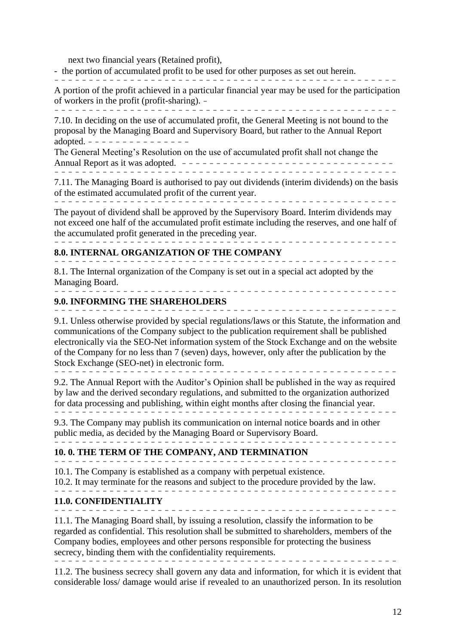next two financial years (Retained profit),

- the portion of accumulated profit to be used for other purposes as set out herein.

--------------------------------------------------

A portion of the profit achieved in a particular financial year may be used for the participation of workers in the profit (profit-sharing). - --------------------------------------------------

7.10. In deciding on the use of accumulated profit, the General Meeting is not bound to the proposal by the Managing Board and Supervisory Board, but rather to the Annual Report adopted.  $- - - - - - - - - - - - -$ 

The General Meeting's Resolution on the use of accumulated profit shall not change the Annual Report as it was adopted. ------------------------------- --------------------------------------------------

7.11. The Managing Board is authorised to pay out dividends (interim dividends) on the basis of the estimated accumulated profit of the current year.

--------------------------------------------------

The payout of dividend shall be approved by the Supervisory Board. Interim dividends may not exceed one half of the accumulated profit estimate including the reserves, and one half of the accumulated profit generated in the preceding year. --------------------------------------------------

### **8.0. INTERNAL ORGANIZATION OF THE COMPANY**

------ -------------------------------------------- 8.1. The Internal organization of the Company is set out in a special act adopted by the Managing Board. --------------------------------------------------

### **9.0. INFORMING THE SHAREHOLDERS**

----------------------- --------------------------- 9.1. Unless otherwise provided by special regulations/laws or this Statute, the information and communications of the Company subject to the publication requirement shall be published electronically via the SEO-Net information system of the Stock Exchange and on the website of the Company for no less than 7 (seven) days, however, only after the publication by the Stock Exchange (SEO-net) in electronic form.

--------------------------------------------------

9.2. The Annual Report with the Auditor's Opinion shall be published in the way as required by law and the derived secondary regulations, and submitted to the organization authorized for data processing and publishing, within eight months after closing the financial year. ----- ---------------------------------------------

9.3. The Company may publish its communication on internal notice boards and in other public media, as decided by the Managing Board or Supervisory Board. --------------------------------------------------

## **10. 0. THE TERM OF THE COMPANY, AND TERMINATION**

-------------------------------------------------- 10.1. The Company is established as a company with perpetual existence.

10.2. It may terminate for the reasons and subject to the procedure provided by the law.

# **11.0. CONFIDENTIALITY**

--------------------------------------------------

--------------------------------------------------

11.1. The Managing Board shall, by issuing a resolution, classify the information to be regarded as confidential. This resolution shall be submitted to shareholders, members of the Company bodies, employees and other persons responsible for protecting the business secrecy, binding them with the confidentiality requirements. ------------------------------------------------- -

11.2. The business secrecy shall govern any data and information, for which it is evident that considerable loss/ damage would arise if revealed to an unauthorized person. In its resolution